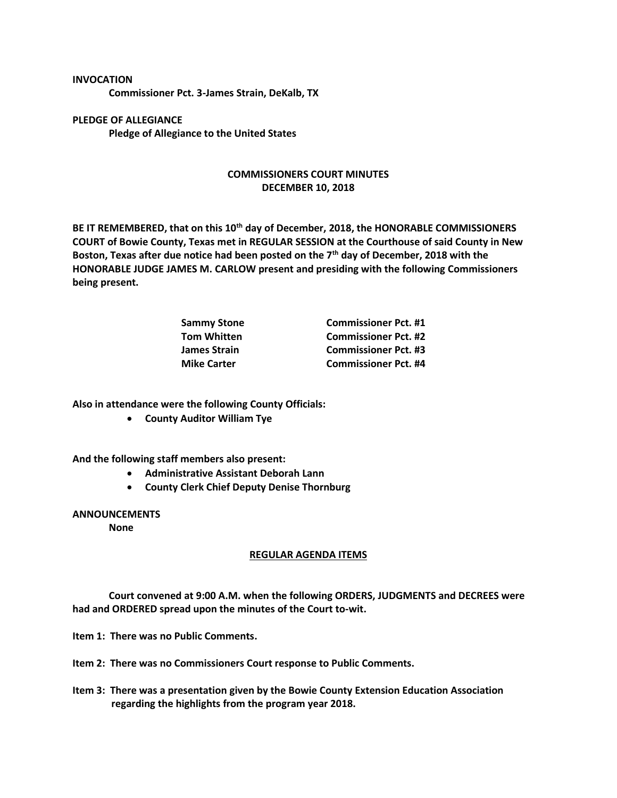**INVOCATION Commissioner Pct. 3-James Strain, DeKalb, TX**

**PLEDGE OF ALLEGIANCE Pledge of Allegiance to the United States**

## **COMMISSIONERS COURT MINUTES DECEMBER 10, 2018**

**BE IT REMEMBERED, that on this 10th day of December, 2018, the HONORABLE COMMISSIONERS COURT of Bowie County, Texas met in REGULAR SESSION at the Courthouse of said County in New Boston, Texas after due notice had been posted on the 7th day of December, 2018 with the HONORABLE JUDGE JAMES M. CARLOW present and presiding with the following Commissioners being present.**

| <b>Commissioner Pct. #1</b> |
|-----------------------------|
| <b>Commissioner Pct. #2</b> |
| <b>Commissioner Pct. #3</b> |
| <b>Commissioner Pct. #4</b> |
|                             |

**Also in attendance were the following County Officials:**

• **County Auditor William Tye**

**And the following staff members also present:**

- **Administrative Assistant Deborah Lann**
- **County Clerk Chief Deputy Denise Thornburg**

## **ANNOUNCEMENTS**

**None**

## **REGULAR AGENDA ITEMS**

**Court convened at 9:00 A.M. when the following ORDERS, JUDGMENTS and DECREES were had and ORDERED spread upon the minutes of the Court to-wit.**

**Item 1: There was no Public Comments.**

**Item 2: There was no Commissioners Court response to Public Comments.**

**Item 3: There was a presentation given by the Bowie County Extension Education Association regarding the highlights from the program year 2018.**